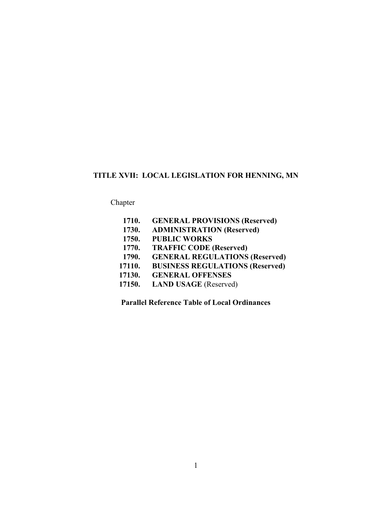# **TITLE XVII: LOCAL LEGISLATION FOR HENNING, MN**

Chapter

| 1710.  | <b>GENERAL PROVISIONS (Reserved)</b>   |
|--------|----------------------------------------|
| 1730.  | <b>ADMINISTRATION (Reserved)</b>       |
| 1750.  | <b>PUBLIC WORKS</b>                    |
| 1770.  | <b>TRAFFIC CODE (Reserved)</b>         |
| 1790.  | <b>GENERAL REGULATIONS (Reserved)</b>  |
| 17110. | <b>BUSINESS REGULATIONS (Reserved)</b> |
| 17130. | <b>GENERAL OFFENSES</b>                |
| 17150. | <b>LAND USAGE</b> (Reserved)           |
|        |                                        |

**Parallel Reference Table of Local Ordinances**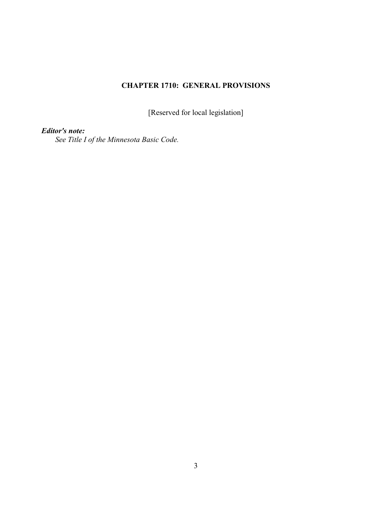# **CHAPTER 1710: GENERAL PROVISIONS**

[Reserved for local legislation]

# *Editor's note:*

*See Title I of the Minnesota Basic Code.*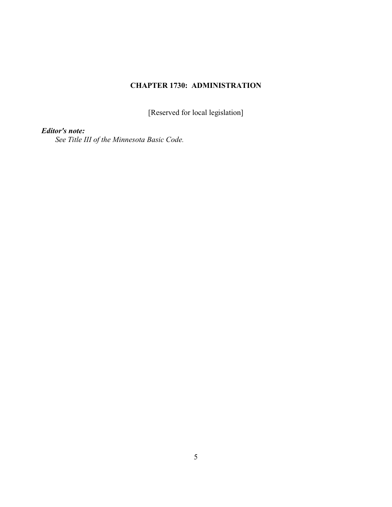# **CHAPTER 1730: ADMINISTRATION**

[Reserved for local legislation]

# *Editor's note:*

*See Title III of the Minnesota Basic Code.*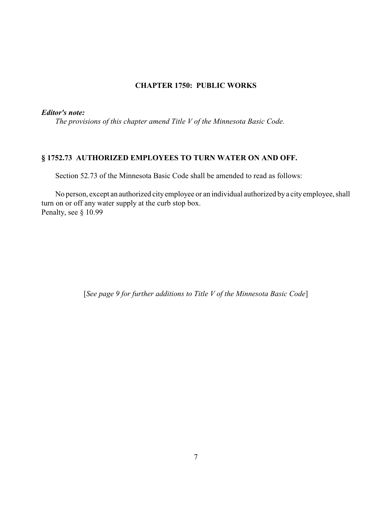## **CHAPTER 1750: PUBLIC WORKS**

## *Editor's note:*

*The provisions of this chapter amend Title V of the Minnesota Basic Code.* 

# **§ 1752.73 AUTHORIZED EMPLOYEES TO TURN WATER ON AND OFF.**

Section 52.73 of the Minnesota Basic Code shall be amended to read as follows:

No person, except an authorized cityemployee or an individual authorized bya cityemployee, shall turn on or off any water supply at the curb stop box. Penalty, see § 10.99

[*See page 9 for further additions to Title V of the Minnesota Basic Code*]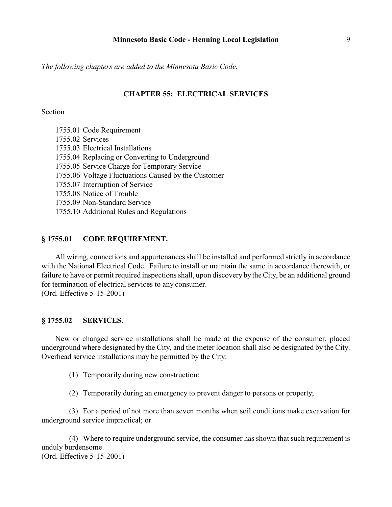*The following chapters are added to the Minnesota Basic Code.*

### **CHAPTER 55: ELECTRICAL SERVICES**

## **Section**

1755.01 Code Requirement 1755.02 Services 1755.03 Electrical Installations 1755.04 Replacing or Converting to Underground 1755.05 Service Charge for Temporary Service 1755.06 Voltage Fluctuations Caused by the Customer 1755.07 Interruption of Service 1755.08 Notice of Trouble 1755.09 Non-Standard Service 1755.10 Additional Rules and Regulations

## **§ 1755.01 CODE REQUIREMENT.**

All wiring, connections and appurtenances shall be installed and performed strictly in accordance with the National Electrical Code. Failure to install or maintain the same in accordance therewith, or failure to have or permit required inspections shall, upon discovery by the City, be an additional ground for termination of electrical services to any consumer. (Ord. Effective 5-15-2001)

### **§ 1755.02 SERVICES.**

New or changed service installations shall be made at the expense of the consumer, placed underground where designated by the City, and the meter location shall also be designated by the City. Overhead service installations may be permitted by the City:

(1) Temporarily during new construction;

(2) Temporarily during an emergency to prevent danger to persons or property;

(3) For a period of not more than seven months when soil conditions make excavation for underground service impractical; or

(4) Where to require underground service, the consumer has shown that such requirement is unduly burdensome. (Ord. Effective 5-15-2001)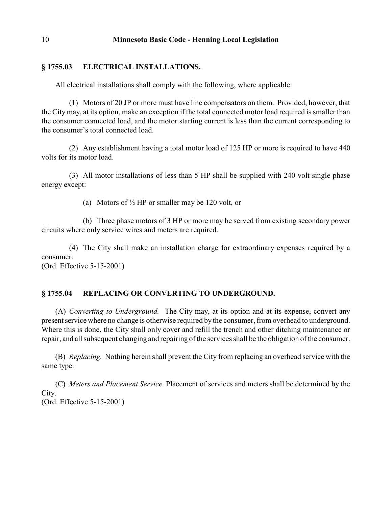## **§ 1755.03 ELECTRICAL INSTALLATIONS.**

All electrical installations shall comply with the following, where applicable:

(1) Motors of 20 JP or more must have line compensators on them. Provided, however, that the City may, at its option, make an exception if the total connected motor load required is smaller than the consumer connected load, and the motor starting current is less than the current corresponding to the consumer's total connected load.

(2) Any establishment having a total motor load of 125 HP or more is required to have 440 volts for its motor load.

(3) All motor installations of less than 5 HP shall be supplied with 240 volt single phase energy except:

(a) Motors of  $\frac{1}{2}$  HP or smaller may be 120 volt, or

(b) Three phase motors of 3 HP or more may be served from existing secondary power circuits where only service wires and meters are required.

(4) The City shall make an installation charge for extraordinary expenses required by a consumer. (Ord. Effective 5-15-2001)

## **§ 1755.04 REPLACING OR CONVERTING TO UNDERGROUND.**

(A) *Converting to Underground.* The City may, at its option and at its expense, convert any present service where no change is otherwise required by the consumer, from overhead to underground. Where this is done, the City shall only cover and refill the trench and other ditching maintenance or repair, and all subsequent changing and repairing of the services shall be the obligation of the consumer.

(B) *Replacing.* Nothing herein shall prevent the City from replacing an overhead service with the same type.

(C) *Meters and Placement Service.* Placement of services and meters shall be determined by the City. (Ord. Effective 5-15-2001)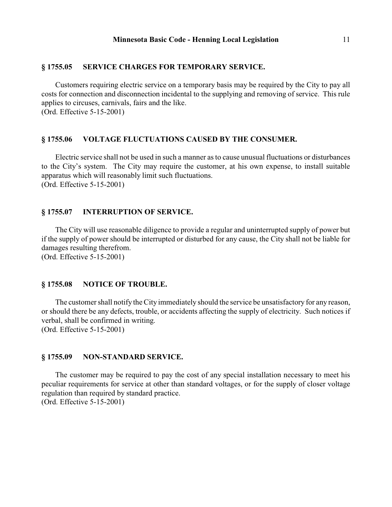### **§ 1755.05 SERVICE CHARGES FOR TEMPORARY SERVICE.**

Customers requiring electric service on a temporary basis may be required by the City to pay all costs for connection and disconnection incidental to the supplying and removing of service. This rule applies to circuses, carnivals, fairs and the like. (Ord. Effective 5-15-2001)

#### **§ 1755.06 VOLTAGE FLUCTUATIONS CAUSED BY THE CONSUMER.**

Electric service shall not be used in such a manner as to cause unusual fluctuations or disturbances to the City's system. The City may require the customer, at his own expense, to install suitable apparatus which will reasonably limit such fluctuations. (Ord. Effective 5-15-2001)

### **§ 1755.07 INTERRUPTION OF SERVICE.**

The City will use reasonable diligence to provide a regular and uninterrupted supply of power but if the supply of power should be interrupted or disturbed for any cause, the City shall not be liable for damages resulting therefrom. (Ord. Effective 5-15-2001)

#### **§ 1755.08 NOTICE OF TROUBLE.**

The customer shall notify the City immediately should the service be unsatisfactory for any reason, or should there be any defects, trouble, or accidents affecting the supply of electricity. Such notices if verbal, shall be confirmed in writing. (Ord. Effective 5-15-2001)

#### **§ 1755.09 NON-STANDARD SERVICE.**

The customer may be required to pay the cost of any special installation necessary to meet his peculiar requirements for service at other than standard voltages, or for the supply of closer voltage regulation than required by standard practice. (Ord. Effective 5-15-2001)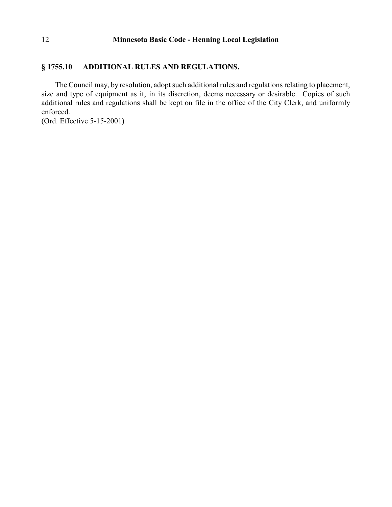#### **§ 1755.10 ADDITIONAL RULES AND REGULATIONS.**

The Council may, by resolution, adopt such additional rules and regulations relating to placement, size and type of equipment as it, in its discretion, deems necessary or desirable. Copies of such additional rules and regulations shall be kept on file in the office of the City Clerk, and uniformly enforced.

(Ord. Effective 5-15-2001)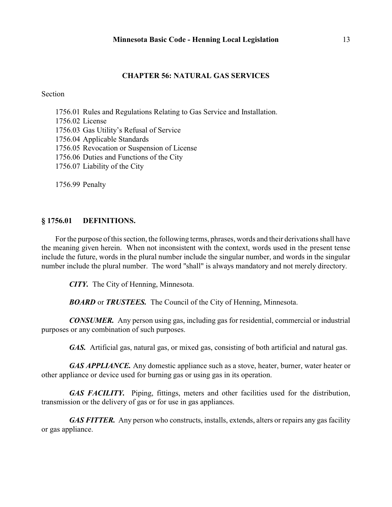## **CHAPTER 56: NATURAL GAS SERVICES**

#### Section

1756.01 Rules and Regulations Relating to Gas Service and Installation.

1756.02 License

1756.03 Gas Utility's Refusal of Service

1756.04 Applicable Standards

1756.05 Revocation or Suspension of License

- 1756.06 Duties and Functions of the City
- 1756.07 Liability of the City

1756.99 Penalty

#### **§ 1756.01 DEFINITIONS.**

For the purpose of this section, the following terms, phrases, words and their derivations shall have the meaning given herein. When not inconsistent with the context, words used in the present tense include the future, words in the plural number include the singular number, and words in the singular number include the plural number. The word "shall" is always mandatory and not merely directory.

*CITY.* The City of Henning, Minnesota.

*BOARD* or *TRUSTEES.* The Council of the City of Henning, Minnesota.

*CONSUMER.* Any person using gas, including gas for residential, commercial or industrial purposes or any combination of such purposes.

*GAS.* Artificial gas, natural gas, or mixed gas, consisting of both artificial and natural gas.

*GAS APPLIANCE*. Any domestic appliance such as a stove, heater, burner, water heater or other appliance or device used for burning gas or using gas in its operation.

*GAS FACILITY.* Piping, fittings, meters and other facilities used for the distribution, transmission or the delivery of gas or for use in gas appliances.

*GAS FITTER.* Any person who constructs, installs, extends, alters or repairs any gas facility or gas appliance.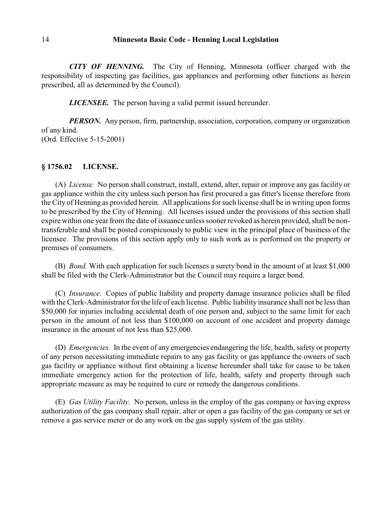*CITY OF HENNING.* The City of Henning, Minnesota (officer charged with the responsibility of inspecting gas facilities, gas appliances and performing other functions as herein prescribed, all as determined by the Council).

*LICENSEE.* The person having a valid permit issued hereunder.

*PERSON.* Any person, firm, partnership, association, corporation, company or organization of any kind. (Ord. Effective 5-15-2001)

#### **§ 1756.02 LICENSE.**

(A) *License.* No person shall construct, install, extend, alter, repair or improve any gas facility or gas appliance within the city unless such person has first procured a gas fitter's license therefore from the City of Henning as provided herein. All applications for such license shall be in writing upon forms to be prescribed by the City of Henning. All licenses issued under the provisions of this section shall expire within one year from the date of issuance unless sooner revoked as herein provided, shall be nontransferable and shall be posted conspicuously to public view in the principal place of business of the licensee. The provisions of this section apply only to such work as is performed on the property or premises of consumers.

(B) *Bond.* With each application for such licenses a surety bond in the amount of at least \$1,000 shall be filed with the Clerk-Administrator but the Council may require a larger bond.

(C) *Insurance.* Copies of public liability and property damage insurance policies shall be filed with the Clerk-Administrator for the life of each license. Public liability insurance shall not be less than \$50,000 for injuries including accidental death of one person and, subject to the same limit for each person in the amount of not less than \$100,000 on account of one accident and property damage insurance in the amount of not less than \$25,000.

(D) *Emergencies.* In the event of any emergencies endangering the life, health, safety or property of any person necessitating immediate repairs to any gas facility or gas appliance the owners of such gas facility or appliance without first obtaining a license hereunder shall take for cause to be taken immediate emergency action for the protection of life, health, safety and property through such appropriate measure as may be required to cure or remedy the dangerous conditions.

(E) *Gas Utility Facility.* No person, unless in the employ of the gas company or having express authorization of the gas company shall repair, alter or open a gas facility of the gas company or set or remove a gas service meter or do any work on the gas supply system of the gas utility.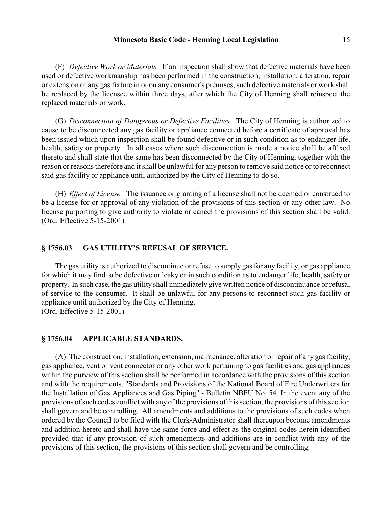(F) *Defective Work or Materials.* If an inspection shall show that defective materials have been used or defective workmanship has been performed in the construction, installation, alteration, repair or extension of any gas fixture in or on any consumer's premises, such defective materials or work shall be replaced by the licensee within three days, after which the City of Henning shall reinspect the replaced materials or work.

(G) *Disconnection of Dangerous or Defective Facilities.* The City of Henning is authorized to cause to be disconnected any gas facility or appliance connected before a certificate of approval has been issued which upon inspection shall be found defective or in such condition as to endanger life, health, safety or property. In all cases where such disconnection is made a notice shall be affixed thereto and shall state that the same has been disconnected by the City of Henning, together with the reason or reasons therefore and it shall be unlawful for any person to remove said notice or to reconnect said gas facility or appliance until authorized by the City of Henning to do so.

(H) *Effect of License.* The issuance or granting of a license shall not be deemed or construed to be a license for or approval of any violation of the provisions of this section or any other law. No license purporting to give authority to violate or cancel the provisions of this section shall be valid. (Ord. Effective 5-15-2001)

### **§ 1756.03 GAS UTILITY'S REFUSAL OF SERVICE.**

The gas utility is authorized to discontinue or refuse to supply gas for any facility, or gas appliance for which it may find to be defective or leaky or in such condition as to endanger life, health, safety or property. In such case, the gas utility shall immediately give written notice of discontinuance or refusal of service to the consumer. It shall be unlawful for any persons to reconnect such gas facility or appliance until authorized by the City of Henning. (Ord. Effective 5-15-2001)

#### **§ 1756.04 APPLICABLE STANDARDS.**

(A) The construction, installation, extension, maintenance, alteration or repair of any gas facility, gas appliance, vent or vent connector or any other work pertaining to gas facilities and gas appliances within the purview of this section shall be performed in accordance with the provisions of this section and with the requirements, "Standards and Provisions of the National Board of Fire Underwriters for the Installation of Gas Appliances and Gas Piping" - Bulletin NBFU No. 54. In the event any of the provisions of such codes conflict with any of the provisions of this section, the provisions of this section shall govern and be controlling. All amendments and additions to the provisions of such codes when ordered by the Council to be filed with the Clerk-Administrator shall thereupon become amendments and addition hereto and shall have the same force and effect as the original codes herein identified provided that if any provision of such amendments and additions are in conflict with any of the provisions of this section, the provisions of this section shall govern and be controlling.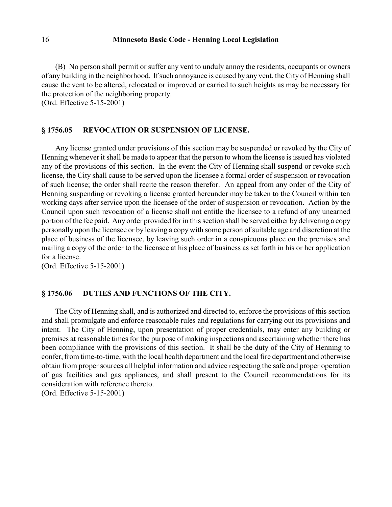(B) No person shall permit or suffer any vent to unduly annoy the residents, occupants or owners of any building in the neighborhood. Ifsuch annoyance is caused by any vent, the City of Henning shall cause the vent to be altered, relocated or improved or carried to such heights as may be necessary for the protection of the neighboring property.

(Ord. Effective 5-15-2001)

#### **§ 1756.05 REVOCATION OR SUSPENSION OF LICENSE.**

Any license granted under provisions of this section may be suspended or revoked by the City of Henning whenever it shall be made to appear that the person to whom the license is issued has violated any of the provisions of this section. In the event the City of Henning shall suspend or revoke such license, the City shall cause to be served upon the licensee a formal order of suspension or revocation of such license; the order shall recite the reason therefor. An appeal from any order of the City of Henning suspending or revoking a license granted hereunder may be taken to the Council within ten working days after service upon the licensee of the order of suspension or revocation. Action by the Council upon such revocation of a license shall not entitle the licensee to a refund of any unearned portion of the fee paid. Any order provided for in this section shall be served either by delivering a copy personally upon the licensee or by leaving a copy with some person of suitable age and discretion at the place of business of the licensee, by leaving such order in a conspicuous place on the premises and mailing a copy of the order to the licensee at his place of business as set forth in his or her application for a license.

(Ord. Effective 5-15-2001)

## **§ 1756.06 DUTIES AND FUNCTIONS OF THE CITY.**

The City of Henning shall, and is authorized and directed to, enforce the provisions of this section and shall promulgate and enforce reasonable rules and regulations for carrying out its provisions and intent. The City of Henning, upon presentation of proper credentials, may enter any building or premises at reasonable times for the purpose of making inspections and ascertaining whether there has been compliance with the provisions of this section. It shall be the duty of the City of Henning to confer, from time-to-time, with the local health department and the local fire department and otherwise obtain from proper sources all helpful information and advice respecting the safe and proper operation of gas facilities and gas appliances, and shall present to the Council recommendations for its consideration with reference thereto.

(Ord. Effective 5-15-2001)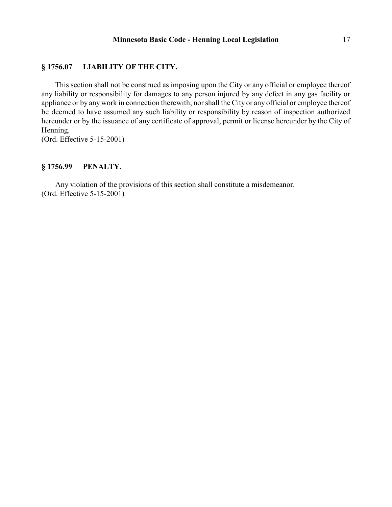## **§ 1756.07 LIABILITY OF THE CITY.**

This section shall not be construed as imposing upon the City or any official or employee thereof any liability or responsibility for damages to any person injured by any defect in any gas facility or appliance or by any work in connection therewith; nor shall the City or any official or employee thereof be deemed to have assumed any such liability or responsibility by reason of inspection authorized hereunder or by the issuance of any certificate of approval, permit or license hereunder by the City of Henning.

(Ord. Effective 5-15-2001)

## **§ 1756.99 PENALTY.**

Any violation of the provisions of this section shall constitute a misdemeanor. (Ord. Effective 5-15-2001)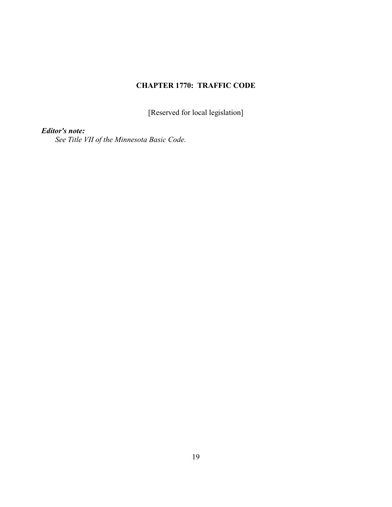# **CHAPTER 1770: TRAFFIC CODE**

[Reserved for local legislation]

# *Editor's note:*

*See Title VII of the Minnesota Basic Code.*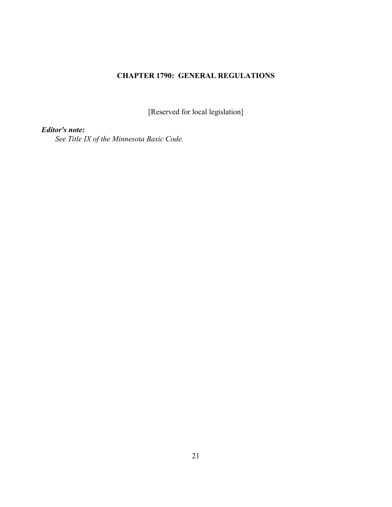# **CHAPTER 1790: GENERAL REGULATIONS**

[Reserved for local legislation]

*Editor's note:*

*See Title IX of the Minnesota Basic Code.*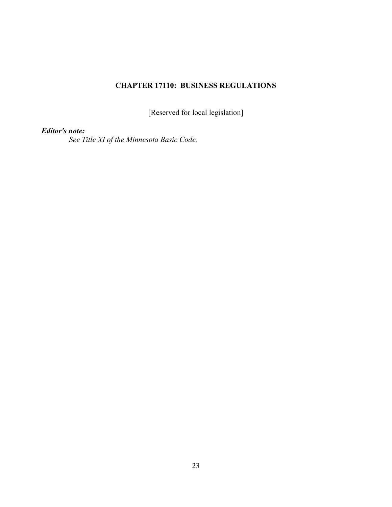# **CHAPTER 17110: BUSINESS REGULATIONS**

[Reserved for local legislation]

*Editor's note:*

*See Title XI of the Minnesota Basic Code.*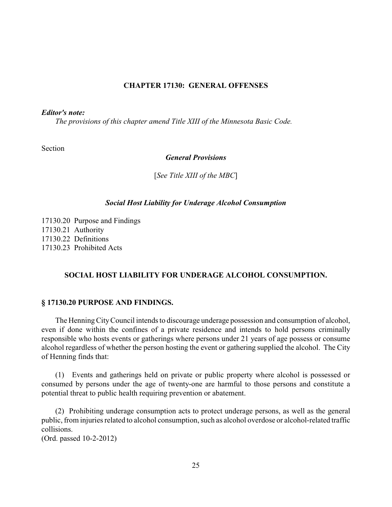## **CHAPTER 17130: GENERAL OFFENSES**

### *Editor's note:*

*The provisions of this chapter amend Title XIII of the Minnesota Basic Code.*

Section

*General Provisions*

[*See Title XIII of the MBC*]

#### *Social Host Liability for Underage Alcohol Consumption*

17130.20 Purpose and Findings 17130.21 Authority 17130.22 Definitions 17130.23 Prohibited Acts

#### **SOCIAL HOST LIABILITY FOR UNDERAGE ALCOHOL CONSUMPTION.**

### **§ 17130.20 PURPOSE AND FINDINGS.**

The Henning City Council intends to discourage underage possession and consumption of alcohol, even if done within the confines of a private residence and intends to hold persons criminally responsible who hosts events or gatherings where persons under 21 years of age possess or consume alcohol regardless of whether the person hosting the event or gathering supplied the alcohol. The City of Henning finds that:

(1) Events and gatherings held on private or public property where alcohol is possessed or consumed by persons under the age of twenty-one are harmful to those persons and constitute a potential threat to public health requiring prevention or abatement.

(2) Prohibiting underage consumption acts to protect underage persons, as well as the general public, from injuries related to alcohol consumption, such as alcohol overdose or alcohol-related traffic collisions.

(Ord. passed 10-2-2012)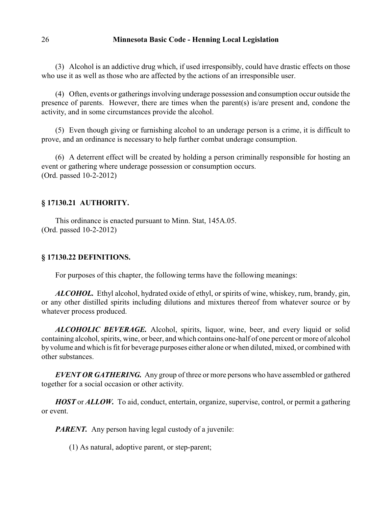(3) Alcohol is an addictive drug which, if used irresponsibly, could have drastic effects on those who use it as well as those who are affected by the actions of an irresponsible user.

(4) Often, events or gatherings involving underage possession and consumption occur outside the presence of parents. However, there are times when the parent(s) is/are present and, condone the activity, and in some circumstances provide the alcohol.

(5) Even though giving or furnishing alcohol to an underage person is a crime, it is difficult to prove, and an ordinance is necessary to help further combat underage consumption.

(6) A deterrent effect will be created by holding a person criminally responsible for hosting an event or gathering where underage possession or consumption occurs. (Ord. passed 10-2-2012)

## **§ 17130.21 AUTHORITY.**

This ordinance is enacted pursuant to Minn. Stat, 145A.05. (Ord. passed 10-2-2012)

## **§ 17130.22 DEFINITIONS.**

For purposes of this chapter, the following terms have the following meanings:

*ALCOHOL.* Ethyl alcohol, hydrated oxide of ethyl, or spirits of wine, whiskey, rum, brandy, gin, or any other distilled spirits including dilutions and mixtures thereof from whatever source or by whatever process produced.

*ALCOHOLIC BEVERAGE.* Alcohol, spirits, liquor, wine, beer, and every liquid or solid containing alcohol, spirits, wine, or beer, and which contains one-half of one percent or more of alcohol by volume and which is fit for beverage purposes either alone or when diluted, mixed, or combined with other substances.

**EVENT OR GATHERING.** Any group of three or more persons who have assembled or gathered together for a social occasion or other activity.

*HOST* or *ALLOW.* To aid, conduct, entertain, organize, supervise, control, or permit a gathering or event.

*PARENT.* Any person having legal custody of a juvenile:

(1) As natural, adoptive parent, or step-parent;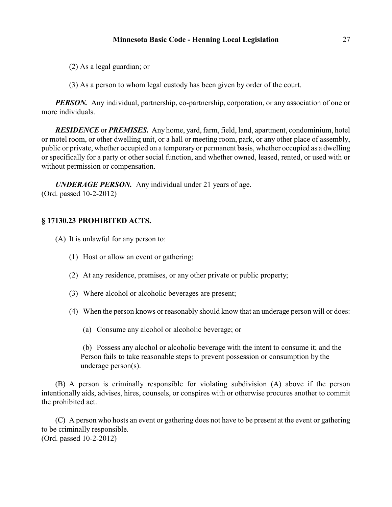(2) As a legal guardian; or

(3) As a person to whom legal custody has been given by order of the court.

*PERSON.* Any individual, partnership, co-partnership, corporation, or any association of one or more individuals.

*RESIDENCE* or *PREMISES.* Any home, yard, farm, field, land, apartment, condominium, hotel or motel room, or other dwelling unit, or a hall or meeting room, park, or any other place of assembly, public or private, whether occupied on a temporary or permanent basis, whether occupied as a dwelling or specifically for a party or other social function, and whether owned, leased, rented, or used with or without permission or compensation.

*UNDERAGE PERSON.* Any individual under 21 years of age. (Ord. passed 10-2-2012)

# **§ 17130.23 PROHIBITED ACTS.**

(A) It is unlawful for any person to:

- (1) Host or allow an event or gathering;
- (2) At any residence, premises, or any other private or public property;
- (3) Where alcohol or alcoholic beverages are present;
- (4) When the person knows or reasonably should know that an underage person will or does:
	- (a) Consume any alcohol or alcoholic beverage; or

(b) Possess any alcohol or alcoholic beverage with the intent to consume it; and the Person fails to take reasonable steps to prevent possession or consumption by the underage person(s).

(B) A person is criminally responsible for violating subdivision (A) above if the person intentionally aids, advises, hires, counsels, or conspires with or otherwise procures another to commit the prohibited act.

(C) A person who hosts an event or gathering does not have to be present at the event or gathering to be criminally responsible. (Ord. passed 10-2-2012)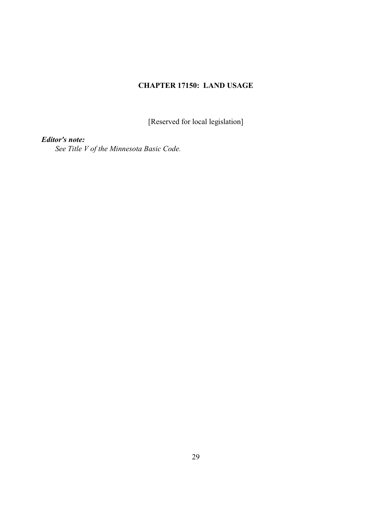# **CHAPTER 17150: LAND USAGE**

[Reserved for local legislation]

*Editor's note:*

*See Title V of the Minnesota Basic Code.*